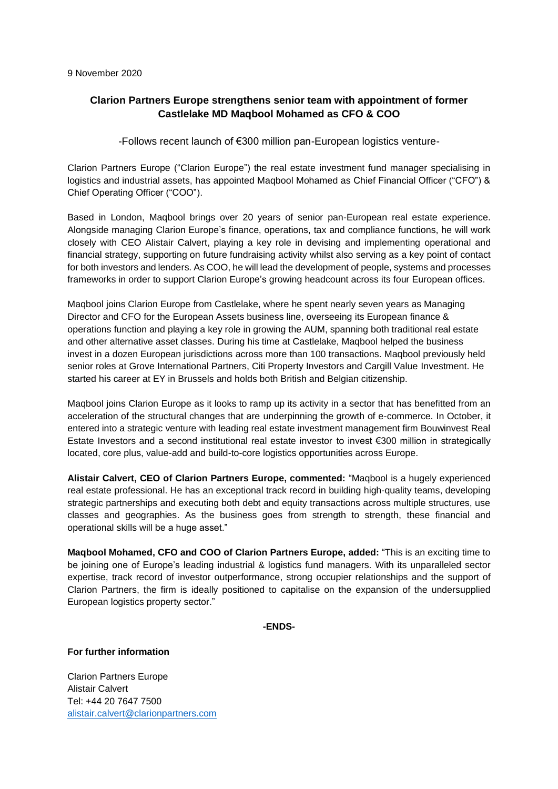## **Clarion Partners Europe strengthens senior team with appointment of former Castlelake MD Maqbool Mohamed as CFO & COO**

-Follows recent launch of €300 million pan-European logistics venture-

Clarion Partners Europe ("Clarion Europe") the real estate investment fund manager specialising in logistics and industrial assets, has appointed Magbool Mohamed as Chief Financial Officer ("CFO") & Chief Operating Officer ("COO").

Based in London, Maqbool brings over 20 years of senior pan-European real estate experience. Alongside managing Clarion Europe's finance, operations, tax and compliance functions, he will work closely with CEO Alistair Calvert, playing a key role in devising and implementing operational and financial strategy, supporting on future fundraising activity whilst also serving as a key point of contact for both investors and lenders. As COO, he will lead the development of people, systems and processes frameworks in order to support Clarion Europe's growing headcount across its four European offices.

Maqbool joins Clarion Europe from Castlelake, where he spent nearly seven years as Managing Director and CFO for the European Assets business line, overseeing its European finance & operations function and playing a key role in growing the AUM, spanning both traditional real estate and other alternative asset classes. During his time at Castlelake, Maqbool helped the business invest in a dozen European jurisdictions across more than 100 transactions. Maqbool previously held senior roles at Grove International Partners, Citi Property Investors and Cargill Value Investment. He started his career at EY in Brussels and holds both British and Belgian citizenship.

Maqbool joins Clarion Europe as it looks to ramp up its activity in a sector that has benefitted from an acceleration of the structural changes that are underpinning the growth of e-commerce. In October, it entered into a strategic venture with leading real estate investment management firm Bouwinvest Real Estate Investors and a second institutional real estate investor to invest €300 million in strategically located, core plus, value-add and build-to-core logistics opportunities across Europe.

**Alistair Calvert, CEO of Clarion Partners Europe, commented:** "Maqbool is a hugely experienced real estate professional. He has an exceptional track record in building high-quality teams, developing strategic partnerships and executing both debt and equity transactions across multiple structures, use classes and geographies. As the business goes from strength to strength, these financial and operational skills will be a huge asset."

**Maqbool Mohamed, CFO and COO of Clarion Partners Europe, added:** "This is an exciting time to be joining one of Europe's leading industrial & logistics fund managers. With its unparalleled sector expertise, track record of investor outperformance, strong occupier relationships and the support of Clarion Partners, the firm is ideally positioned to capitalise on the expansion of the undersupplied European logistics property sector."

**-ENDS-**

**For further information**

Clarion Partners Europe Alistair Calvert Tel: +44 20 7647 7500 [alistair.calvert@clarionpartners.com](mailto:alistair.calvert@clarionpartners.com)